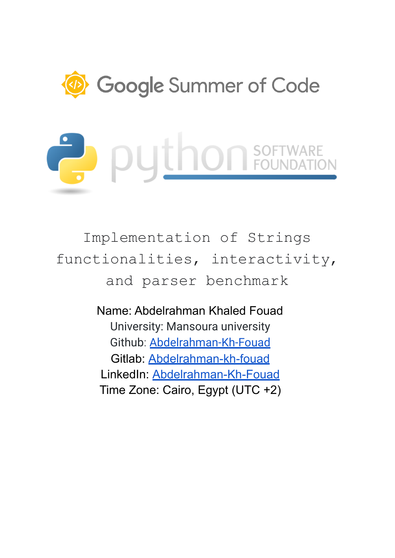

Implementation of Strings functionalities, interactivity, and parser benchmark

> Name: Abdelrahman Khaled Fouad University: Mansoura university Github: [Abdelrahman-Kh-Fouad](https://github.com/Abdelrahman-Kh-Fouad) Gitlab: [Abdelrahman-kh-fouad](https://gitlab.com/Abdelrahman-kh-fouad) LinkedIn: [Abdelrahman-Kh-Fouad](https://www.linkedin.com/in/abdelrahman-kh-fouad/) Time Zone: Cairo, Egypt (UTC +2)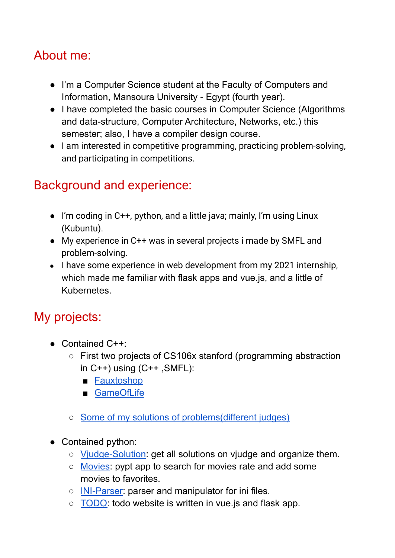# About me:

- I'm a Computer Science student at the Faculty of Computers and Information, Mansoura University - Egypt (fourth year).
- I have completed the basic courses in Computer Science (Algorithms and data-structure, Computer Architecture, Networks, etc.) this semester; also, I have a compiler design course.
- I am interested in competitive programming, practicing problem-solving, and participating in competitions.

# Background and experience:

- I'm coding in C++, python, and a little java; mainly, I'm using Linux (Kubuntu).
- My experience in C++ was in several projects i made by SMFL and problem-solving.
- I have some experience in web development from my 2021 internship, which made me familiar with flask apps and vue.js, and a little of Kubernetes.

# My projects:

- $\bullet$  Contained C++:
	- First two projects of CS106x stanford (programming abstraction in  $C++$ ) using  $(C++$  , SMFL):
		- [Fauxtoshop](https://gitlab.com/Abdelrahman-kh-fouad/CS106x/-/tree/main/Fauxtoshop)
		- [GameOfLife](https://gitlab.com/Abdelrahman-kh-fouad/CS106x/-/tree/main/GameOfLife)
	- Some of my solutions of [problems\(different](https://github.com/Abdelrahman-Kh-Fouad/ProblemSolving) judges)
- Contained python:
	- [Vjudge-Solution](https://github.com/Abdelrahman-Kh-Fouad/GetSolutionsFormVjudge): get all solutions on vjudge and organize them.
	- [Movies:](https://github.com/Abdelrahman-Kh-Fouad/pyqtMovies) pypt app to search for movies rate and add some movies to favorites.
	- o **[INI-Parser](https://github.com/Abdelrahman-Kh-Fouad/Ini-parser):** parser and manipulator for ini files.
	- [TODO:](https://github.com/Abdelrahman-Kh-Fouad/ToDo) todo website is written in vue.js and flask app.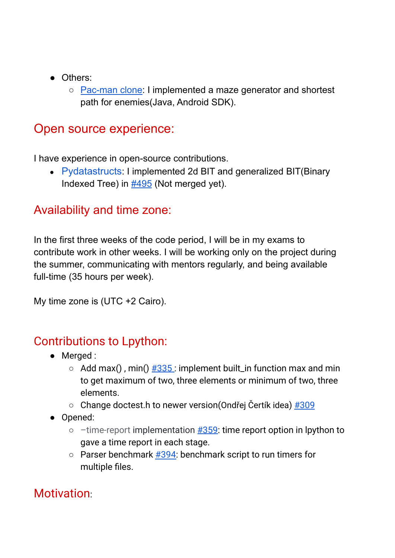- Others:
	- [Pac-man](https://github.com/mmabas77/AI-Project-3-CS) clone: I implemented a maze generator and shortest path for enemies(Java, Android SDK).

# Open source experience:

I have experience in open-source contributions.

● [Pydatastructs](https://github.com/codezonediitj/pydatastructs): I implemented 2d BIT and generalized BIT(Binary Indexed Tree) in [#495](https://github.com/codezonediitj/pydatastructs/pull/495/) (Not merged yet).

#### Availability and time zone:

In the first three weeks of the code period, I will be in my exams to contribute work in other weeks. I will be working only on the project during the summer, communicating with mentors regularly, and being available full-time (35 hours per week).

My time zone is (UTC +2 Cairo).

#### Contributions to Lpython:

- Merged :
	- $\circ$  Add max(), min()  $\#335$  $\#335$ : implement built in function max and min to get maximum of two, three elements or minimum of two, three elements.
	- $\circ$  Change doctest.h to newer version(Ondřej Čertík idea)  $\#309$  $\#309$
- Opened:
	- $\circ$  –time-report implementation  $\frac{\#359}{\#359}$ : time report option in lpython to gave a time report in each stage.
	- Parser benchmark [#394:](https://github.com/lcompilers/lpython/pull/394) benchmark script to run timers for multiple files.

#### **Motivation:**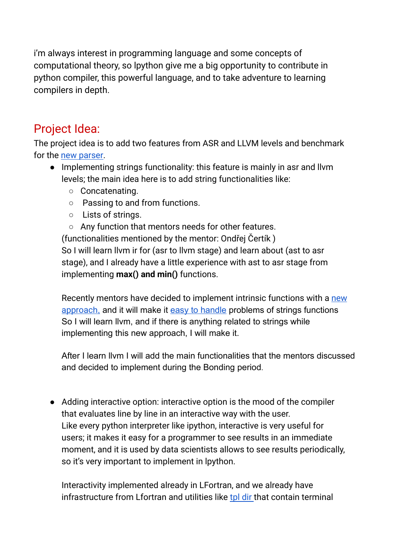i'm always interest in programming language and some concepts of computational theory, so lpython give me a big opportunity to contribute in python compiler, this powerful language, and to take adventure to learning compilers in depth.

# Project Idea:

The project idea is to add two features from ASR and LLVM levels and benchmark for the new [parser.](https://github.com/lcompilers/lpython/issues/298)

- Implementing strings functionality: this feature is mainly in asr and llvm levels; the main idea here is to add string functionalities like:
	- Concatenating.
	- Passing to and from functions.
	- Lists of strings.
	- Any function that mentors needs for other features. (functionalities mentioned by the mentor: Ondřej Čertík ) So I will learn llvm ir for (asr to llvm stage) and learn about (ast to asr stage), and I already have a little experience with ast to asr stage from implementing **max() and min()** functions.

Recently mentors have decided to implement intrinsic functions with a [new](https://gitlab.com/lfortran/lfortran/-/merge_requests/1700) [approac](https://gitlab.com/lfortran/lfortran/-/merge_requests/1700)h, and it will make it easy to [handle](https://github.com/lcompilers/lpython/issues/273#issuecomment-1099462717) problems of strings functions So I will learn llvm, and if there is anything related to strings while implementing this new approach, I will make it.

After I learn llvm I will add the main functionalities that the mentors discussed and decided to implement during the Bonding period.

● Adding interactive option: interactive option is the mood of the compiler that evaluates line by line in an interactive way with the user. Like every python interpreter like ipython, interactive is very useful for users; it makes it easy for a programmer to see results in an immediate moment, and it is used by data scientists allows to see results periodically, so it's very important to implement in lpython.

Interactivity implemented already in LFortran, and we already have infrastructure from Lfortran and utilities like tpl [dir](https://gitlab.com/lfortran/lfortran/-/tree/master/src/bin/tpl) that contain terminal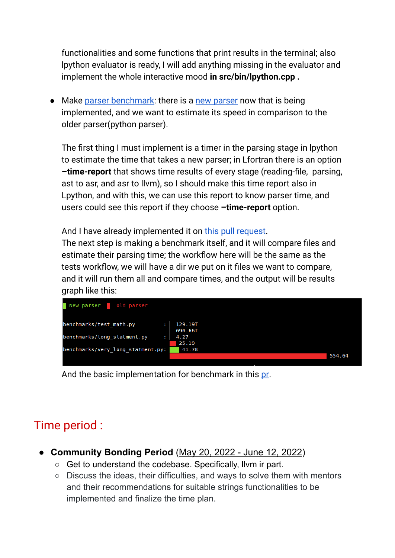functionalities and some functions that print results in the terminal; also lpython evaluator is ready, I will add anything missing in the evaluator and implement the whole interactive mood **in src/bin/lpython.cpp .**

• Make parser [benchmark:](https://github.com/lcompilers/lpython/issues/344) there is a new [parser](https://github.com/lcompilers/lpython/issues/298) now that is being implemented, and we want to estimate its speed in comparison to the older parser(python parser).

The first thing I must implement is a timer in the parsing stage in lpython to estimate the time that takes a new parser; in Lfortran there is an option **–time-report** that shows time results of every stage (reading-file, parsing, ast to asr, and asr to llvm), so I should make this time report also in Lpython, and with this, we can use this report to know parser time, and users could see this report if they choose **–time-report** option.

And I have already implemented it on this pull [request.](https://github.com/lcompilers/lpython/pull/359)

The next step is making a benchmark itself, and it will compare files and estimate their parsing time; the workflow here will be the same as the tests workflow, we will have a dir we put on it files we want to compare, and it will run them all and compare times, and the output will be results graph like this:



And the basic implementation for benchmark in this [pr.](https://github.com/lcompilers/lpython/pull/394)

# Time period :

- **● Community Bonding Period** (May 20, 2022 June 12, 2022)
	- Get to understand the codebase. Specifically, llvm ir part.
	- Discuss the ideas, their difficulties, and ways to solve them with mentors and their recommendations for suitable strings functionalities to be implemented and finalize the time plan.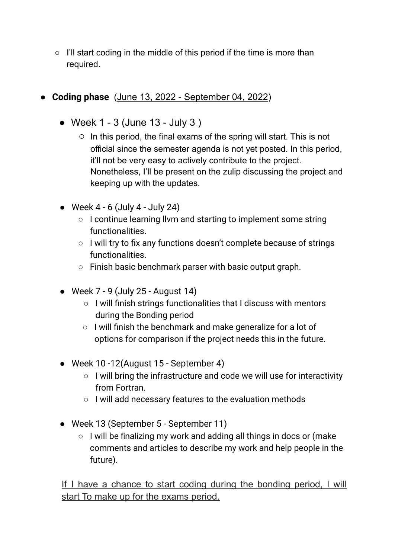- $\circ$  I'll start coding in the middle of this period if the time is more than required.
- **Coding phase** (June 13, 2022 September 04, 2022)
	- $\bullet$  Week 1 3 (June 13 July 3)
		- In this period, the final exams of the spring will start. This is not official since the semester agenda is not yet posted. In this period, it'll not be very easy to actively contribute to the project. Nonetheless, I'll be present on the zulip discussing the project and keeping up with the updates.
	- $\bullet$  Week 4 6 (July 4 July 24)
		- I continue learning llvm and starting to implement some string functionalities.
		- I will try to fix any functions doesn't complete because of strings functionalities.
		- Finish basic benchmark parser with basic output graph.
	- Week  $7 9$  (July 25 August 14)
		- I will finish strings functionalities that I discuss with mentors during the Bonding period
		- $\circ$  I will finish the benchmark and make generalize for a lot of options for comparison if the project needs this in the future.
	- Week 10 -12(August 15 September 4)
		- I will bring the infrastructure and code we will use for interactivity from Fortran.
		- I will add necessary features to the evaluation methods
	- Week 13 (September 5 September 11)
		- I will be finalizing my work and adding all things in docs or (make comments and articles to describe my work and help people in the future).

If I have a chance to start coding during the bonding period, I will start To make up for the exams period.